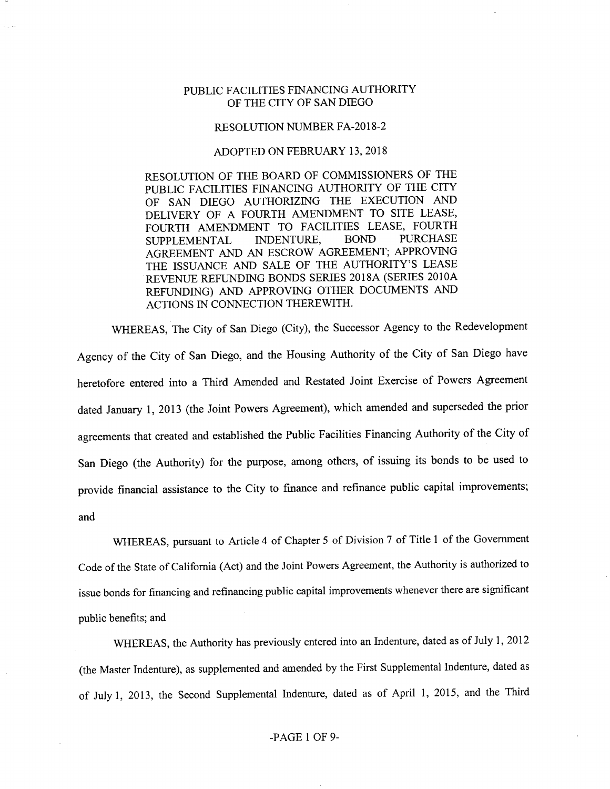## PUBLIC FACILITIES FINANCING AUTHORITY OF THE CITY OF SAN DIEGO

## RESOLUTION NUMBER FA-2018-2

## ADOPTED ON FEBRUARY 13, 2018

RESOLUTION OF THE BOARD OF COMMISSIONERS OF THE PUBLIC FACILITIES FINANCING AUTHORITY OF THE CITY OF SAN DIEGO AUTHORIZING THE EXECUTION AND DELIVERY OF A FOURTH AMENDMENT TO SITE LEASE, FOURTH AMENDMENT TO FACILITIES LEASE, FOURTH<br>SUPPLEMENTAL INDENTURE, BOND PURCHASE SUPPLEMENTAL AGREEMENT AND AN ESCROW AGREEMENT; APPROVING THE ISSUANCE AND SALE OF THE AUTHORITY'S LEASE REVENUE REFUNDING BONDS SERIES 2018A (SERIES 2010A REFUNDING) AND APPROVING OTHER DOCUMENTS AND ACTIONS IN CONNECTION THEREWITH.

WHEREAS, The City of San Diego (City), the Successor Agency to the Redevelopment Agency of the City of San Diego, and the Housing Authority of the City of San Diego have heretofore entered into a Third Amended and Restated Joint Exercise of Powers Agreement dated January 1, 2013 (the Joint Powers Agreement), which amended and superseded the prior agreements that created and established the Public Facilities Financing Authority of the City of San Diego (the Authority) for the purpose, among others, of issuing its bonds to be used to provide financial assistance to the City to finance and refinance public capital improvements; and

WHEREAS, pursuant to Article 4 of Chapter 5 of Division 7 of Title <sup>1</sup> of the Government Code of the State of California (Act) and the Joint Powers Agreement, the Authority is authorized to issue bonds for financing and refinancing public capital improvements whenever there are significant public benefits; and

WHEREAS, the Authority has previously entered into an Indenture, dated as of July 1, 2012 (the Master Indenture), as supplemented and amended by the First Supplemental Indenture, dated as of July 1, 2013, the Second Supplemental Indenture, dated as of April 1, 2015, and the Third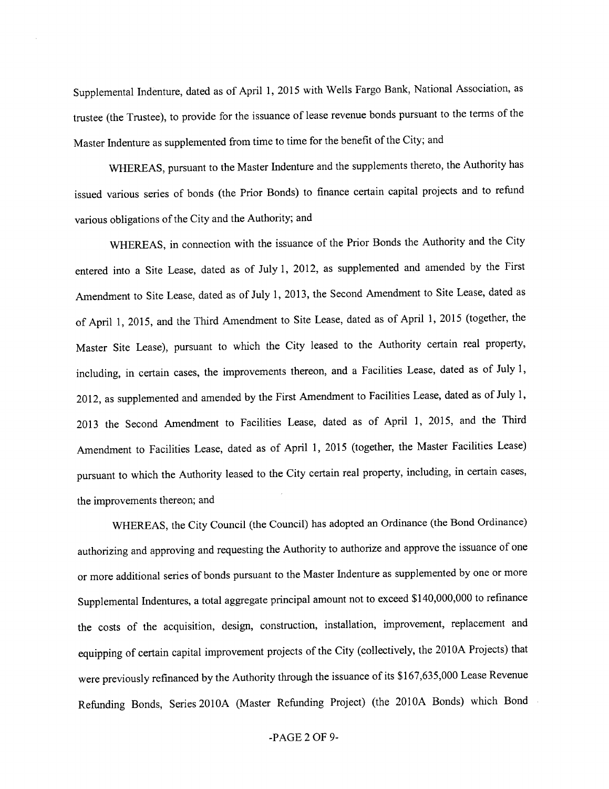Supplemental Indenture, dated as of April 1, 2015 with Wells Fargo Bank, National Association, as trustee (the Trustee), to provide for the issuance of lease revenue bonds pursuant to the terms of the Master Indenture as supplemented from time to time for the benefit of the City; and

WHEREAS, pursuant to the Master Indenture and the supplements thereto, the Authority has issued various series of bonds (the Prior Bonds) to finance certain capital projects and to refund various obligations of the City and the Authority; and

WHEREAS, in connection with the issuance of the Prior Bonds the Authority and the City entered into a Site Lease, dated as of July 1, 2012, as supplemented and amended by the First Amendment to Site Lease, dated as of July 1, 2013, the Second Amendment to Site Lease, dated as of April 1, 2015, and the Third Amendment to Site Lease, dated as of April 1, 2015 (together, the Master Site Lease), pursuant to which the City leased to the Authority certain real property, including, in certain cases, the improvements thereon, and a Facilities Lease, dated as of July 1, 2012, as supplemented and amended by the First Amendment to Facilities Lease, dated as of July 1, 2013 the Second Amendment to Facilities Lease, dated as of April 1, 2015, and the Third Amendment to Facilities Lease, dated as of April 1, 2015 (together, the Master Facilities Lease) pursuant to which the Authority leased to the City certain real property, including, in certain cases, the improvements thereon; and

WHEREAS, the City Council (the Council) has adopted an Ordinance (the Bond Ordinance) authorizing and approving and requesting the Authority to authorize and approve the issuance of one or more additional series of bonds pursuant to the Master Indenture as supplemented by one or more Supplemental Indentures, a total aggregate principal amount not to exceed \$140,000,000 to refinance the costs of the acquisition, design, construction, installation, improvement, replacement and equipping of certain capital improvement projects of the City (collectively, the 2010A Projects) that were previously refinanced by the Authority through the issuance of its \$167,635,000 Lease Revenue Refimding Bonds, Series 2010A (Master Refimding Project) (the 2010A Bonds) which Bond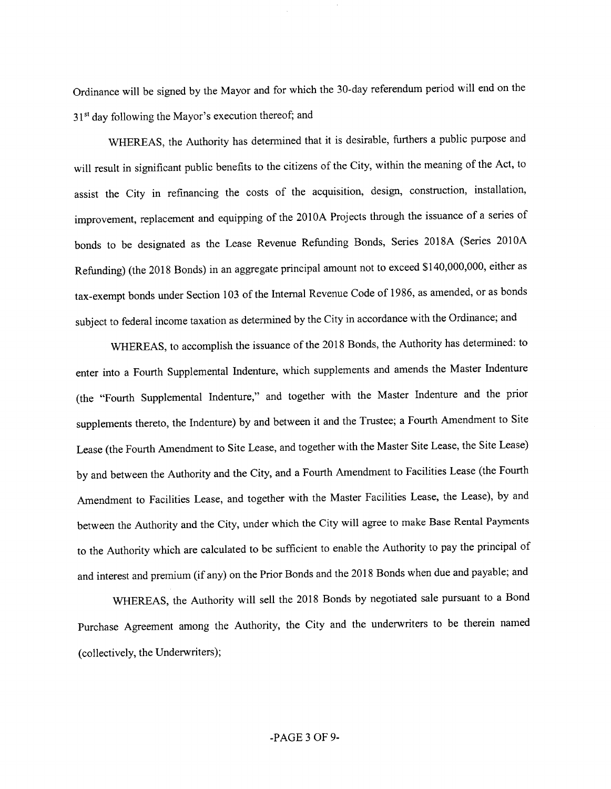Ordinance will be signed by the Mayor and for which the 30-day referendum period will end on the 31<sup>st</sup> day following the Mayor's execution thereof; and

WHEREAS, the Authority has determined that it is desirable, furthers a public purpose and will result in significant public benefits to the citizens of the City, within the meaning of the Act, to assist the City in refinancing the costs of the acquisition, design, construction, installation, improvement, replacement and equipping of the 2010A Projects through the issuance of a series of bonds to be designated as the Lease Revenue Refunding Bonds, Series 2018A (Series 201OA Refunding) (the 2018 Bonds) in an aggregate principal amount not to exceed \$140,000,000, either as tax-exempt bonds under Section 103 of the Internal Revenue Code of 1986, as amended, or as bonds subject to federal income taxation as determined by the City in accordance with the Ordinance, and

WHEREAS, to accomplish the issuance of the 2018 Bonds, the Authority has determined: to enter into a Fourth Supplemental Indenture, which supplements and amends the Master Indenture (the "Fourth Supplemental Indenture," and together with the Master Indenture and the prior supplements thereto, the Indenture) by and between it and the Trustee; a Fourth Amendment to Site Lease (the Fourth Amendment to Site Lease, and together with the Master Site Lease, the Site Lease) by and between the Authority and the City, and a Fourth Amendment to Facilities Lease (the Fourth Amendment to Facilities Lease, and together with the Master Facilities Lease, the Lease), by and between the Authority and the City, under which the City will agree to make Base Rental Payments to the Authority which are calculated to be sufficient to enable the Authority to pay the principal of and interest and premium (if any) on the Prior Bonds and the 2018 Bonds when due and payable; and

WHEREAS, the Authority will sell the 2018 Bonds by negotiated sale pursuant to a Bond Purchase Agreement among the Authority, the City and the underwriters to be therein named (collectively, the Underwriters);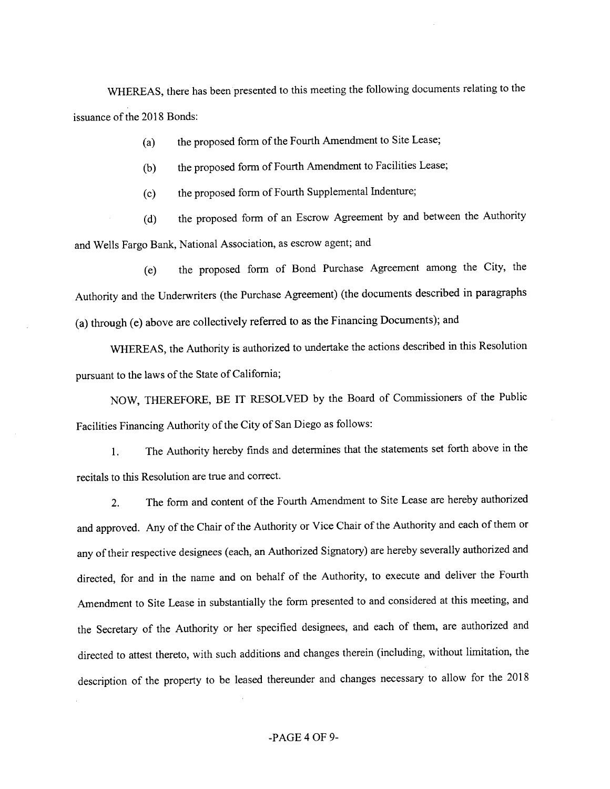WHEREAS, there has been presented to this meeting the following documents relating to the issuance of the 2018 Bonds:

(a) the proposed form of the Fourth Amendment to Site Lease;

(b) the proposed form of Fourth Amendment to Facilities Lease;

(c) the proposed form of Fourth Supplemental Indenture;

(d) the proposed form of an Escrow Agreement by and between the Authority and Wells Fargo Bank, National Association, as escrow agent; and

(e) the proposed form of Bond Purchase Agreement among the City, the Authority and the Underwriters (the Purchase Agreement) (the documents described in paragraphs (a) through (e) above are collectively referred to as the Financing Documents); and

WHEREAS, the Authority is authorized to undertake the actions described in this Resolution pursuant to the laws of the State of California;

NOW, THEREFORE, BE IT RESOLVED by the Board of Commissioners of the Public Facilities Financing Authority of the City of San Diego as follows:

1. The Authority hereby finds and determines that the statements set forth above in the recitals to this Resolution are tme and correct.

2. The form and content of the Fourth Amendment to Site Lease are hereby authorized and approved. Any of the Chair of the Authority or Vice Chair of the Authority and each of them or any of their respective designees (each, an Authorized Signatory) are hereby severally authorized and directed, for and in the name and on behalf of the Authority, to execute and deliver the Fourth Amendment to Site Lease in substantially the form presented to and considered at this meeting, and the Secretary of the Authority or her specified designees, and each of them, are authorized and directed to attest thereto, with such additions and changes therein (including, without limitation, the description of the property to be leased thereunder and changes necessary to allow for the 2018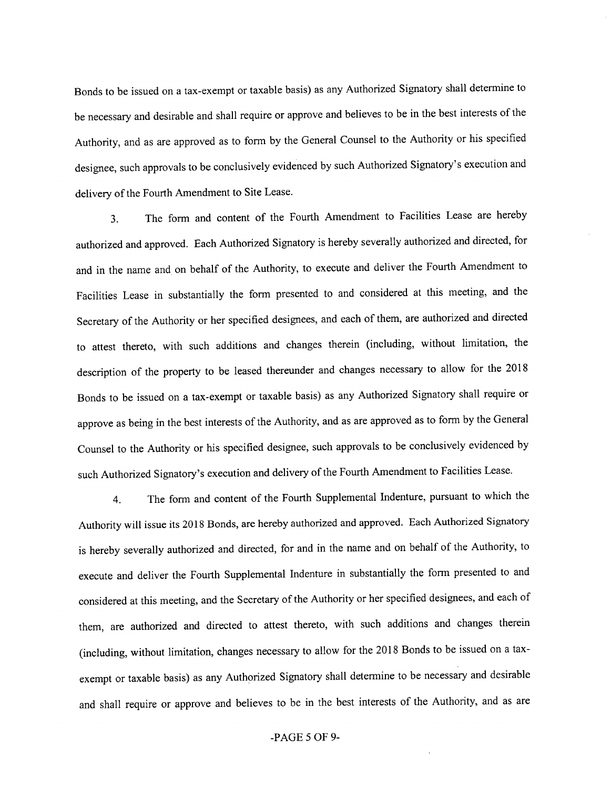Bonds to be issued on a tax-exempt or taxable basis) as any Authorized Signatory shall determine to be necessary and desirable and shall require or approve and believes to be in the best interests of the Authority, and as are approved as to form by the General Counsel to the Authority or his specified designee, such approvals to be conclusively evidenced by such Authorized Signatory's execution and delivery of the Fourth Amendment to Site Lease.

3. The form and content of the Fourth Amendment to Facilities Lease are hereby authorized and approved. Each Authorized Signatory is hereby severally authorized and directed, for and in the name and on behalf of the Authority, to execute and deliver the Fourth Amendment to Facilities Lease in substantially the form presented to and considered at this meeting, and the Secretary of the Authority or her specified designees, and each of them, are authorized and directed to attest thereto, with such additions and changes therein (including, without lirmtation, the description of the property to be leased thereunder and ehanges necessary to allow for the 2018 Bonds to be issued on a tax-exempt or taxable basis) as any Authorized Signatory shall require or approve as being in the best interests of the Authority, and as are approved as to form by the General Counsel to the Authority or his specified designee, such approvals to be conclusively evidenced by such Authorized Signatory's execution and delivery of the Fourth Amendment to Facilities Lease.

4. The form and eontent of the Fourth Supplemental Indenture, pursuant to which the Authority will issue its 2018 Bonds, are hereby authorized and approved. Each Authorized Signatory is hereby severally authorized and directed, for and in the name and on behalf of the Authority, to execute and deliver the Fourth Supplemental Indenture in substantially the form presented to and considered at this meeting, and the Secretary of the Authority or her specified designees, and each of them, are authorized and directed to attest thereto, with such additions and changes therein (including, without limitation, changes necessary to allow for the 2018 Bonds to be issued on a taxexempt or taxable basis) as any Authorized Signatory shall determine to be necessary and desirable and shall require or approve and believes to be in the best interests of the Authority, and as are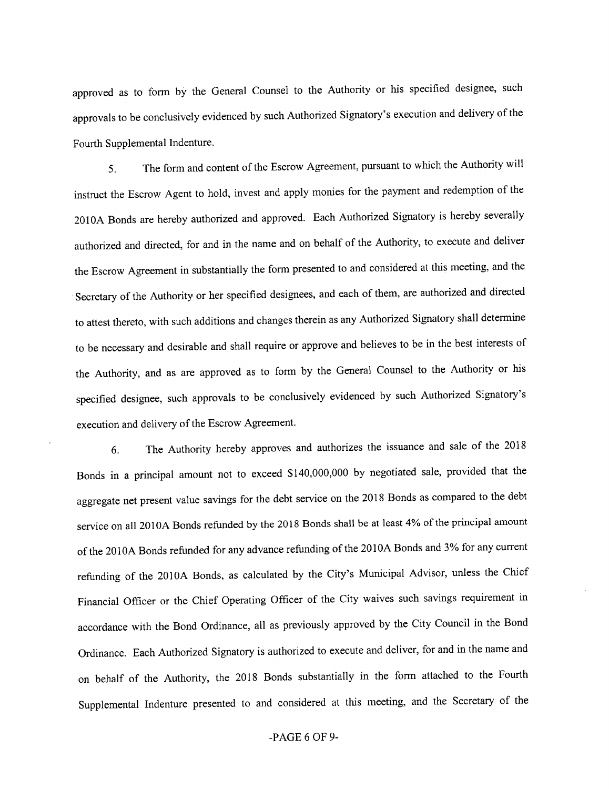approved as to form by the General Counsel to the Authority or his specified designee, such approvals to be conclusively evidenced by such Authorized Signatory's execution and delivery of the Fourth Supplemental Indenture.

5. The form and content of the Escrow Agreement, pursuant to which the Authority will instruct the Escrow Agent to hold, invest and apply monies for the payment and redemption of the 2010A Bonds are hereby authorized and approved. Each Authorized Signatory is hereby severally authorized and directed, for and in the name and on behalf of the Authority, to execute and deliver the Escrow Agreement in substantially the form presented to and considered at this meeting, and the Secretary of the Authority or her specified designees, and each of them, are authorized and directed to attest thereto, with such additions and changes therein as any Authorized Signatory shall determine to be necessary and desirable and shall require or approve and believes to be in the best interests of the Authority, and as are approved as to form by the General Counsel to the Authority or his specified designee, such approvals to be conclusively evidenced by such Authorized Signatory's execution and delivery of the Escrow Agreement.

6. The Authority hereby approves and authorizes the issuance and sale of the 2018 Bonds in a principal amount not to exceed \$140,000,000 by negotiated sale, provided that the aggregate net present value savings for the debt service on the 2018 Bonds as compared to the debt service on all 2010A Bonds refunded by the 2018 Bonds shall be at least 4% of the principal amount of the 2010A Bonds refunded for any advance refunding of the 2010A Bonds and 3% for any current refunding of the 2010A Bonds, as calculated by the City's Municipal Advisor, unless the Chief Financial Officer or the Chief Operating Officer of the City waives such savings requirement in accordance with the Bond Ordinance, all as previously approved by the City Council in the Bond Ordinance. Each Authorized Signatory is authorized to execute and deliver, for and in the name and on behalf of the Authority, the 2018 Bonds substantially in the form attached to the Fourth Supplemental Indenture presented to and considered at this meeting, and the Secretary of the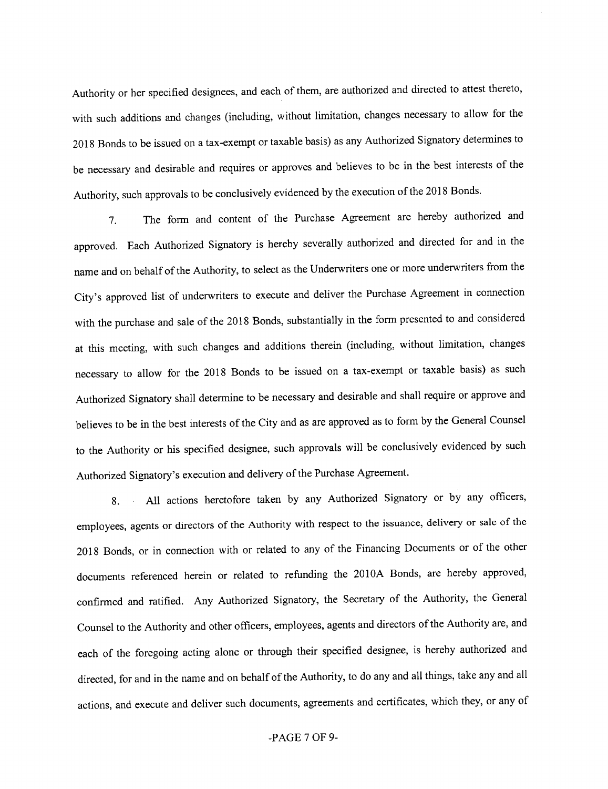Authority or her specified designees, and each of them, are authorized and directed to attest thereto, with such additions and changes (including, without limitation, changes necessary to allow for the 2018 Bonds to be issued on a tax-exempt or taxable basis) as any Authorized Signatory determines to be necessary and desirable and requires or approves and believes to be in the best interests of the Authority, such approvals to be conclusively evidenced by the execution of the 2018 Bonds.

7. The form and content of the Purchase Agreement are hereby authorized and approved. Each Authorized Signatory is hereby severally authorized and directed for and in the name and on behalf of the Authority, to select as the Underwriters one or more underwriters from the City's approved list of underwriters to execute and deliver the Purchase Agreement in connection with the purchase and sale of the 2018 Bonds, substantially in the form presented to and considered at this meeting, with such changes and additions therein (including, without limitation, changes necessary to allow for the 2018 Bonds to be issued on a tax-exempt or taxable basis) as such Authorized Signatory shall determine to be necessary and desirable and shall require or approve and believes to be in the best interests of the City and as are approved as to form by the General Counsel to the Authority or his specified designee, such approvals will be conclusively evidenced by such Authorized Signatory's execution and delivery of the Purchase Agreement.

8. All actions heretofore taken by any Authorized Signatory or by any officers, employees, agents or directors of the Authority with respect to the issuance, delivery or sale of the 2018 Bonds, or in connection with or related to any of the Financing Documents or of the other documents referenced herein or related to refunding the 2010A Bonds, are hereby approved, confirmed and ratified. Any Authorized Signatory, the Secretary of the Authority, the General Counsel to the Authority and other officers, employees, agents and directors ofthe Authority are, and each of the foregoing acting alone or through their specified designee, is hereby authorized and directed, for and in the name and on behalf of the Authority, to do any and all things, take any and all actions, and execute and deliver such documents, agreements and certificates, which they, or any of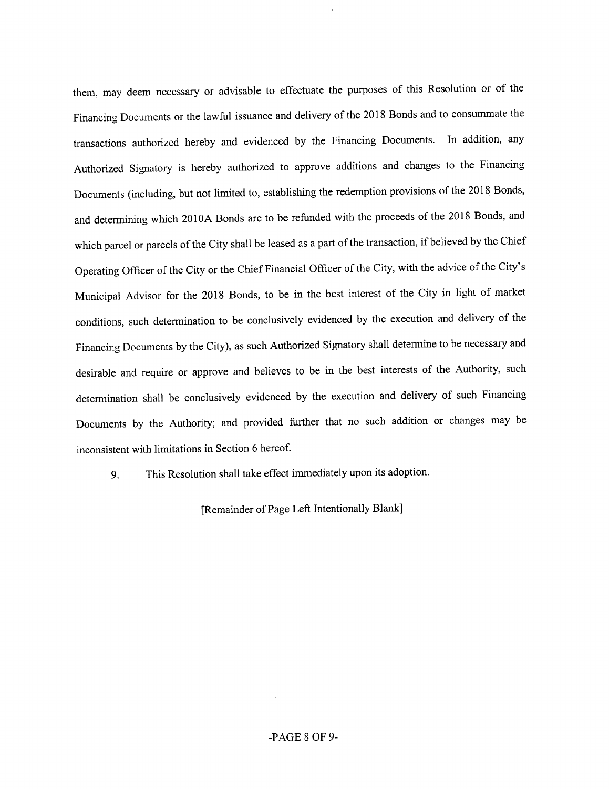them, may deem necessary or advisable to effectuate the purposes of this Resolution or of the Financing Documents or the lawful issuance and delivery of the 2018 Bonds and to consummate the transactions authorized hereby and evidenced by the Financing Documents. In addition, any Authorized Signatory is hereby authorized to approve additions and changes to the Financing Documents (including, but not limited to, establishing the redemption provisions of the 2018 Bonds, and determining which 2010A Bonds are to be refunded with the proceeds of the 2018 Bonds, and which parcel or parcels of the City shall be leased as a part of the transaction, if believed by the Chief Operating Officer of the City or the Chief Financial Officer of the City, with the advice of the City's Municipal Advisor for the 2018 Bonds, to be in the best interest of the City in light of market conditions, such determination to be conclusively evidenced by the execution and delivery of the Financing Documents by the City), as such Authorized Signatory shall determine to be necessary and desirable and require or approve and believes to be in the best interests of the Authority, such determination shall be conclusively evidenced by the execution and delivery of such Financing Documents by the Authority; and provided further that no such addition or changes may be inconsistent with limitations in Section 6 hereof

9. This Resolution shall take effect immediately upon its adoption.

[Remainder of Page Left Intentionally Blank]